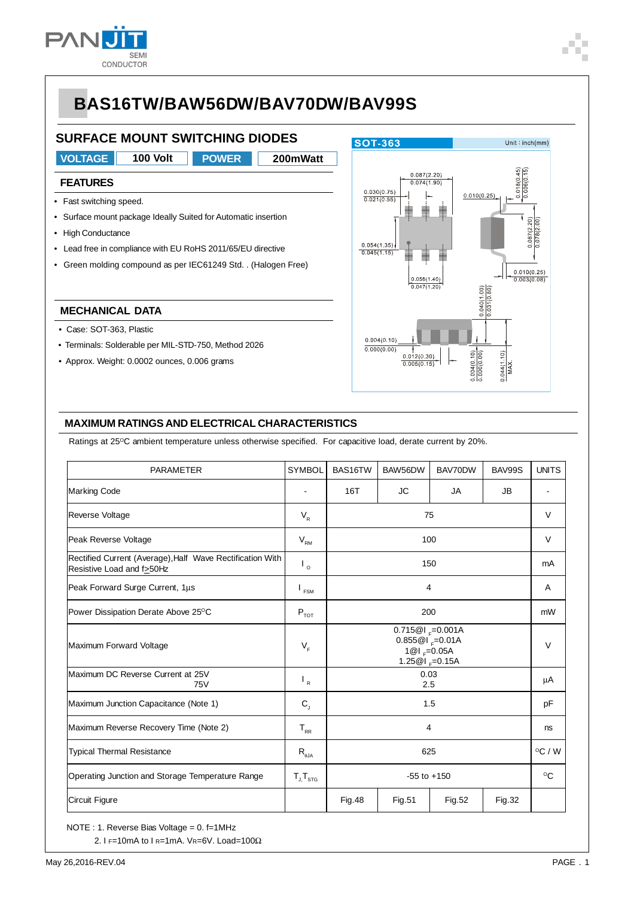

### **SURFACE MOUNT SWITCHING DIODES**

**VOLTAGE 100 Volt POWER 200mWatt POWER**

#### **FEATURES**

- Fast switching speed.
- Surface mount package Ideally Suited for Automatic insertion
- High Conductance
- Lead free in compliance with EU RoHS 2011/65/EU directive
- Green molding compound as per IEC61249 Std. . (Halogen Free)

#### **MECHANICAL DATA**

- Case: SOT-363, Plastic
- Terminals: Solderable per MIL-STD-750, Method 2026
- Approx. Weight: 0.0002 ounces, 0.006 grams



#### **MAXIMUM RATINGS AND ELECTRICAL CHARACTERISTICS**

Ratings at 25°C ambient temperature unless otherwise specified. For capacitive load, derate current by 20%.

| <b>PARAMETER</b>                                                                       | <b>SYMBOL</b>               | BAS16TW                                                                                      | BAW56DW     | BAV70DW | BAV99S | <b>UNITS</b> |  |
|----------------------------------------------------------------------------------------|-----------------------------|----------------------------------------------------------------------------------------------|-------------|---------|--------|--------------|--|
| Marking Code                                                                           |                             | 16T                                                                                          | JC.         | JA      | JB     |              |  |
| <b>Reverse Voltage</b>                                                                 | $\mathsf{V}_{\mathsf{R}}$   | 75                                                                                           |             |         |        |              |  |
| Peak Reverse Voltage                                                                   | $V_{\rm RM}$                | 100                                                                                          |             |         |        |              |  |
| Rectified Current (Average), Half Wave Rectification With<br>Resistive Load and f>50Hz | $\mathsf{I}_{\circ}$        | 150                                                                                          |             |         |        |              |  |
| Peak Forward Surge Current, 1µs                                                        | $\mathsf{I}_{\mathsf{FSM}}$ |                                                                                              | Α           |         |        |              |  |
| Power Dissipation Derate Above 25°C                                                    | $P_{\text{tot}}$            | 200                                                                                          |             |         |        |              |  |
| Maximum Forward Voltage                                                                | $V_F$                       | $0.715@1_{F}=0.001A$<br>$0.855@1_{F} = 0.01A$<br>1 $@I_{F} = 0.05A$<br>1.25 $@I_{r} = 0.15A$ |             |         |        |              |  |
| Maximum DC Reverse Current at 25V<br><b>75V</b>                                        | $\mathsf{I}_{\mathsf{R}}$   | 0.03<br>2.5                                                                                  |             |         |        |              |  |
| Maximum Junction Capacitance (Note 1)                                                  | $C_{\rm J}$                 | 1.5                                                                                          |             |         |        |              |  |
| Maximum Reverse Recovery Time (Note 2)                                                 | $T_{RR}$                    |                                                                                              | ns          |         |        |              |  |
| <b>Typical Thermal Resistance</b>                                                      | $R_{\theta$ JA              | 625                                                                                          |             |         |        |              |  |
| Operating Junction and Storage Temperature Range                                       | $T_{J}T_{STG}$              |                                                                                              | $^{\circ}C$ |         |        |              |  |
| Circuit Figure                                                                         |                             | <b>Fig.48</b>                                                                                | Fig.51      | Fig.52  | Fig.32 |              |  |

NOTE : 1. Reverse Bias Voltage = 0. f=1MHz

2. I F=10mA to I R=1mA. VR=6V. Load=100Ω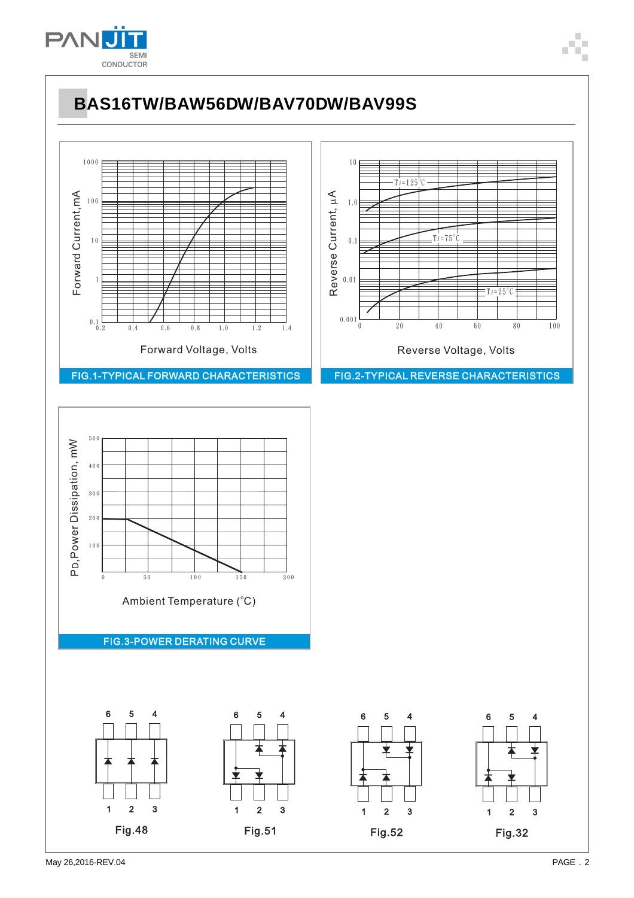

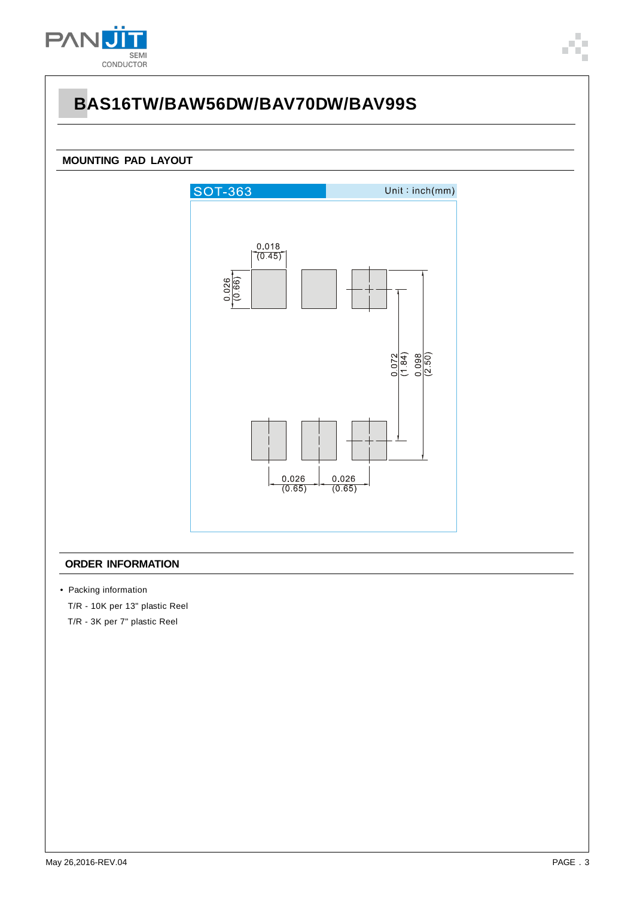

#### **MOUNTING PAD LAYOUT**



#### **ORDER INFORMATION**

• Packing information

T/R - 10K per 13" plastic Reel

T/R - 3K per 7" plastic Reel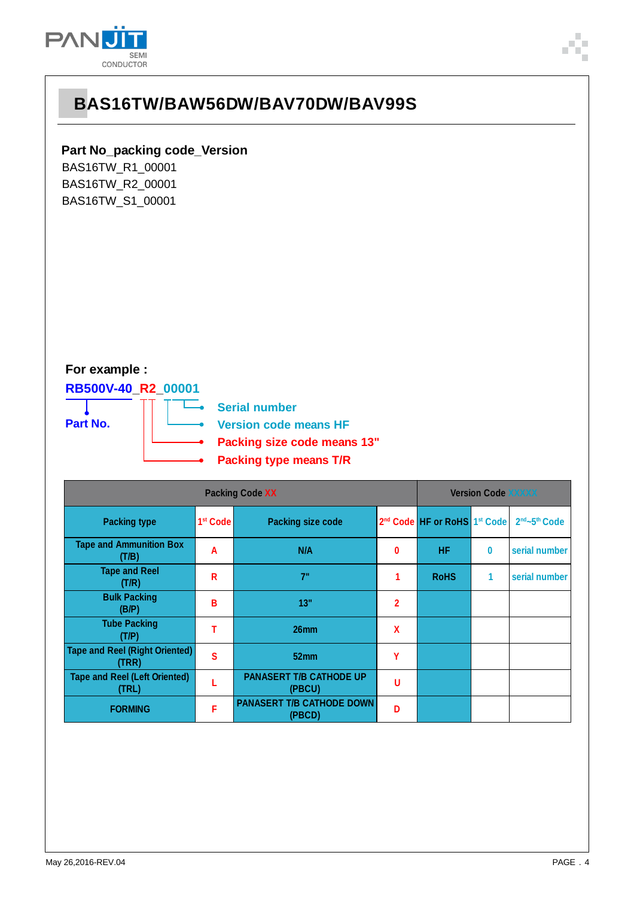

### **Part No\_packing code\_Version**

BAS16TW\_R1\_00001 BAS16TW\_R2\_00001 BAS16TW\_S1\_00001

### **For example :**

### **RB500V-40\_R2\_00001**





| <b>Packing Code XX</b>                         |                      |                                            | <b>Version Code XXXXX</b> |                                                      |          |                                       |
|------------------------------------------------|----------------------|--------------------------------------------|---------------------------|------------------------------------------------------|----------|---------------------------------------|
| <b>Packing type</b>                            | 1 <sup>st</sup> Code | <b>Packing size code</b>                   |                           | 2 <sup>nd</sup> Code HF or RoHS 1 <sup>st</sup> Code |          | 2 <sup>nd</sup> ~5 <sup>th</sup> Code |
| <b>Tape and Ammunition Box</b><br>(T/B)        | A                    | N/A                                        | 0                         | <b>HF</b>                                            | $\bf{0}$ | serial number                         |
| <b>Tape and Reel</b><br>(T/R)                  | R                    | 7"                                         | 1                         | <b>RoHS</b>                                          |          | serial number                         |
| <b>Bulk Packing</b><br>(B/P)                   | в                    | 13"                                        | 2                         |                                                      |          |                                       |
| <b>Tube Packing</b><br>(T/P)                   | т                    | 26mm                                       | χ                         |                                                      |          |                                       |
| <b>Tape and Reel (Right Oriented)</b><br>(TRR) | $\mathbf{s}$         | 52mm                                       | γ                         |                                                      |          |                                       |
| <b>Tape and Reel (Left Oriented)</b><br>(TRL)  |                      | <b>PANASERT T/B CATHODE UP</b><br>(PBCU)   | U                         |                                                      |          |                                       |
| <b>FORMING</b>                                 | F                    | <b>PANASERT T/B CATHODE DOWN</b><br>(PBCD) | D                         |                                                      |          |                                       |